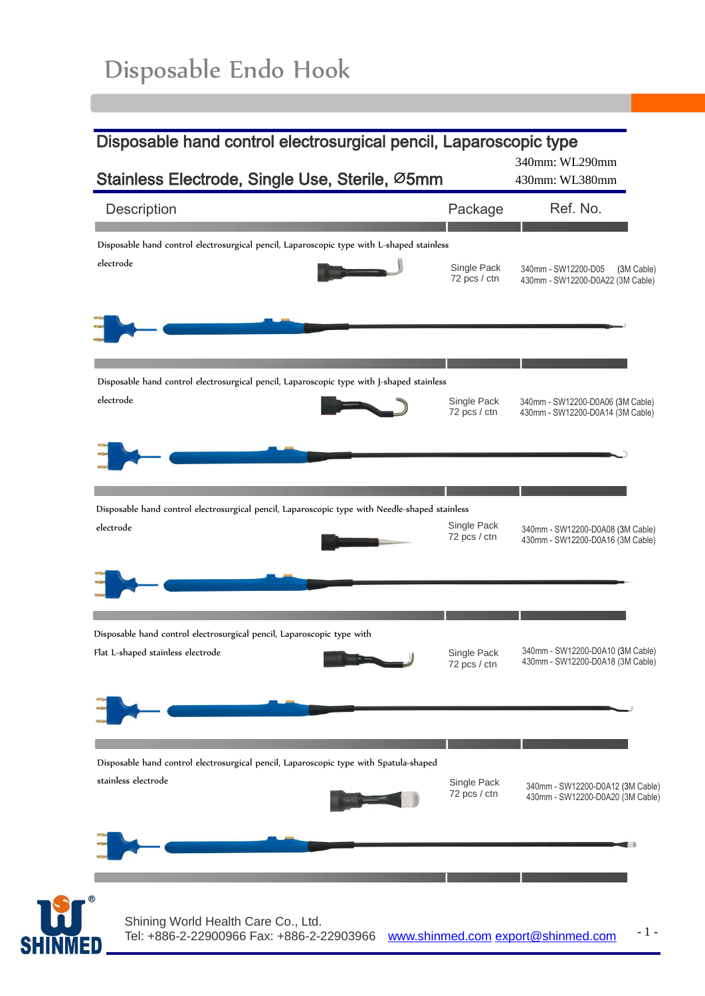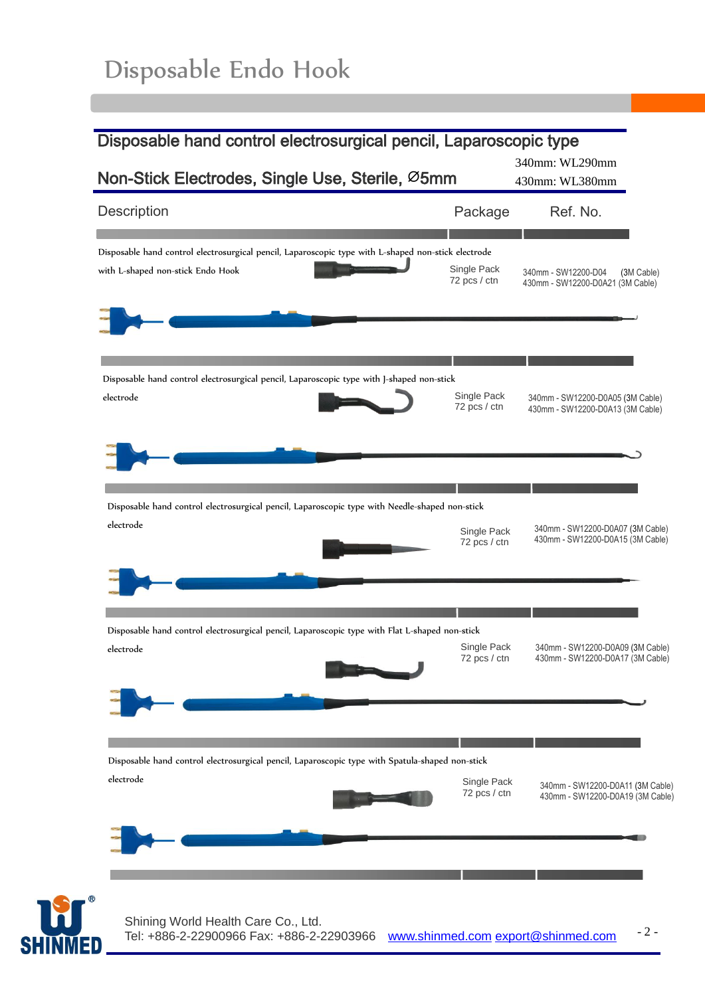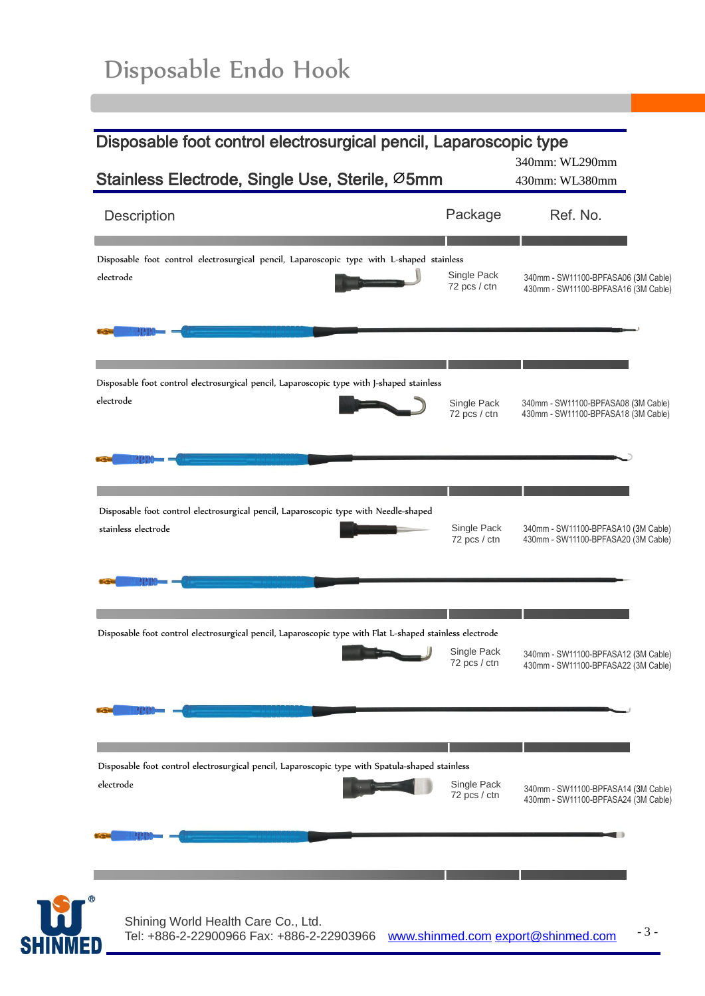**SHINM** 

| Disposable foot control electrosurgical pencil, Laparoscopic type                                        |                                                                                                                | 340mm: WL290mm                                                             |  |
|----------------------------------------------------------------------------------------------------------|----------------------------------------------------------------------------------------------------------------|----------------------------------------------------------------------------|--|
| Stainless Electrode, Single Use, Sterile, Ø5mm                                                           |                                                                                                                | 430mm: WL380mm                                                             |  |
| Description                                                                                              | Package                                                                                                        | Ref. No.                                                                   |  |
| Disposable foot control electrosurgical pencil, Laparoscopic type with L-shaped stainless                | Single Pack                                                                                                    | 340mm - SW11100-BPFASA06 (3M Cable)                                        |  |
| electrode                                                                                                | 72 pcs / ctn                                                                                                   | 430mm - SW11100-BPFASA16 (3M Cable)                                        |  |
| Disposable foot control electrosurgical pencil, Laparoscopic type with J-shaped stainless                | Single Pack                                                                                                    | 340mm - SW11100-BPFASA08 (3M Cable)                                        |  |
| electrode                                                                                                | 72 pcs / ctn                                                                                                   | 430mm - SW11100-BPFASA18 (3M Cable)                                        |  |
| Disposable foot control electrosurgical pencil, Laparoscopic type with Needle-shaped                     | Single Pack                                                                                                    | 340mm - SW11100-BPFASA10 (3M Cable)                                        |  |
| stainless electrode                                                                                      | 72 pcs / ctn                                                                                                   | 430mm - SW11100-BPFASA20 (3M Cable)                                        |  |
| Disposable foot control electrosurgical pencil, Laparoscopic type with Flat L-shaped stainless electrode | Single Pack<br>72 pcs / ctn                                                                                    | 340mm - SW11100-BPFASA12 (3M Cable)<br>430mm - SW11100-BPFASA22 (3M Cable) |  |
|                                                                                                          | Disposable foot control electrosurgical pencil, Laparoscopic type with Spatula-shaped stainless<br>Single Pack | 340mm - SW11100-BPFASA14 (3M Cable)                                        |  |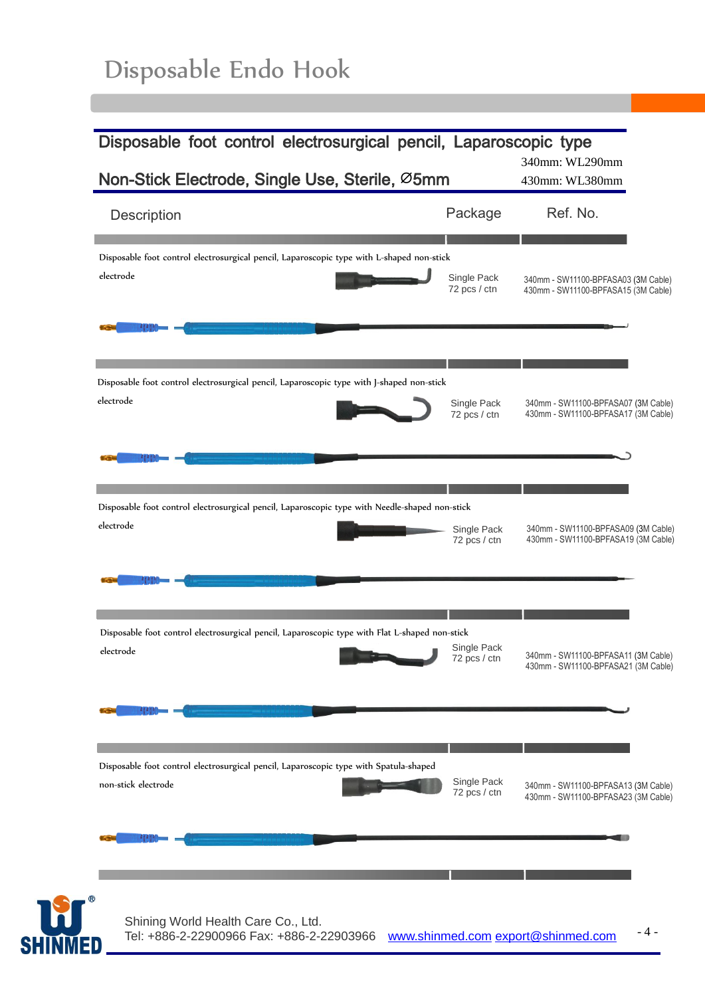| Description         |                                                                                                | Package                     | Ref. No.                                                                   |
|---------------------|------------------------------------------------------------------------------------------------|-----------------------------|----------------------------------------------------------------------------|
|                     | Disposable foot control electrosurgical pencil, Laparoscopic type with L-shaped non-stick      |                             |                                                                            |
| electrode           |                                                                                                | Single Pack<br>72 pcs / ctn | 340mm - SW11100-BPFASA03 (3M Cable)<br>430mm - SW11100-BPFASA15 (3M Cable) |
|                     |                                                                                                |                             |                                                                            |
| electrode           | Disposable foot control electrosurgical pencil, Laparoscopic type with J-shaped non-stick      |                             |                                                                            |
|                     |                                                                                                | Single Pack<br>72 pcs / ctn | 340mm - SW11100-BPFASA07 (3M Cable)<br>430mm - SW11100-BPFASA17 (3M Cable) |
|                     |                                                                                                |                             |                                                                            |
| electrode           | Disposable foot control electrosurgical pencil, Laparoscopic type with Needle-shaped non-stick | Single Pack                 | 340mm - SW11100-BPFASA09 (3M Cable)                                        |
|                     |                                                                                                | 72 pcs / ctn                | 430mm - SW11100-BPFASA19 (3M Cable)                                        |
|                     |                                                                                                |                             |                                                                            |
| electrode           | Disposable foot control electrosurgical pencil, Laparoscopic type with Flat L-shaped non-stick | Single Pack<br>72 pcs / ctn | 340mm - SW11100-BPFASA11 (3M Cable)<br>430mm - SW11100-BPFASA21 (3M Cable) |
|                     |                                                                                                |                             |                                                                            |
|                     |                                                                                                |                             |                                                                            |
| non-stick electrode | Disposable foot control electrosurgical pencil, Laparoscopic type with Spatula-shaped          | Single Pack<br>72 pcs / ctn | 340mm - SW11100-BPFASA13 (3M Cable)<br>430mm - SW11100-BPFASA23 (3M Cable) |
|                     |                                                                                                |                             |                                                                            |
|                     |                                                                                                |                             |                                                                            |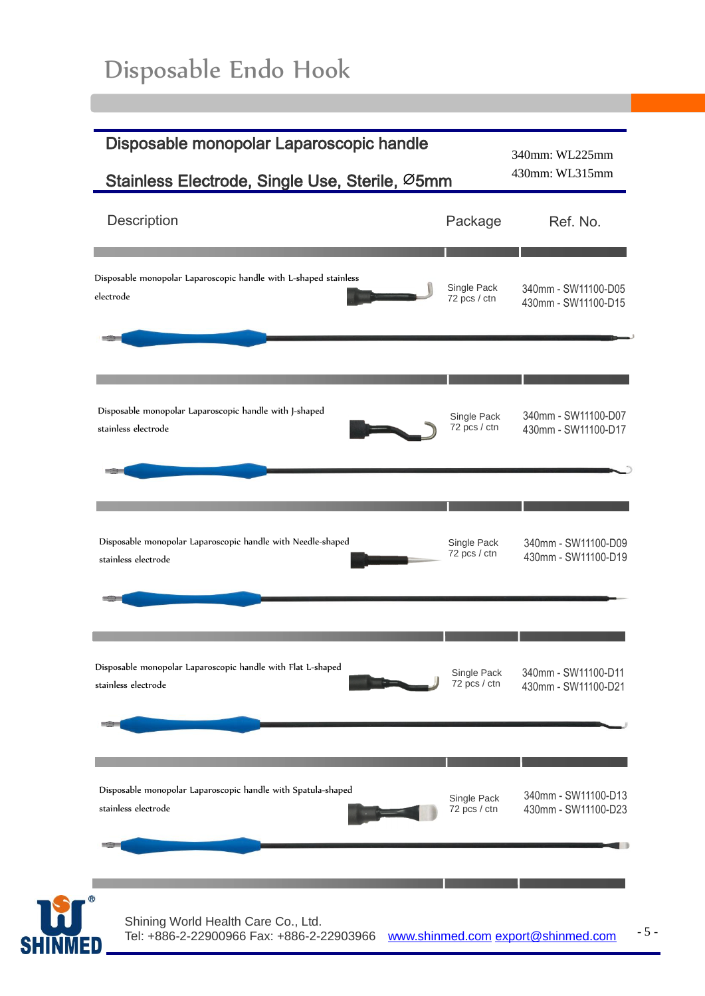| Description                                                      | Package      | Ref. No.            |
|------------------------------------------------------------------|--------------|---------------------|
| Disposable monopolar Laparoscopic handle with L-shaped stainless | Single Pack  | 340mm - SW11100-D05 |
| electrode                                                        | 72 pcs / ctn | 430mm - SW11100-D15 |
| Disposable monopolar Laparoscopic handle with J-shaped           | Single Pack  | 340mm - SW11100-D07 |
| stainless electrode                                              | 72 pcs / ctn | 430mm - SW11100-D17 |
| Disposable monopolar Laparoscopic handle with Needle-shaped      | Single Pack  | 340mm - SW11100-D09 |
| stainless electrode                                              | 72 pcs / ctn | 430mm - SW11100-D19 |
| Disposable monopolar Laparoscopic handle with Flat L-shaped      | Single Pack  | 340mm - SW11100-D11 |
| stainless electrode                                              | 72 pcs / ctn | 430mm - SW11100-D21 |
| Disposable monopolar Laparoscopic handle with Spatula-shaped     | Single Pack  | 340mm - SW11100-D13 |
| stainless electrode                                              | 72 pcs / ctn | 430mm - SW11100-D23 |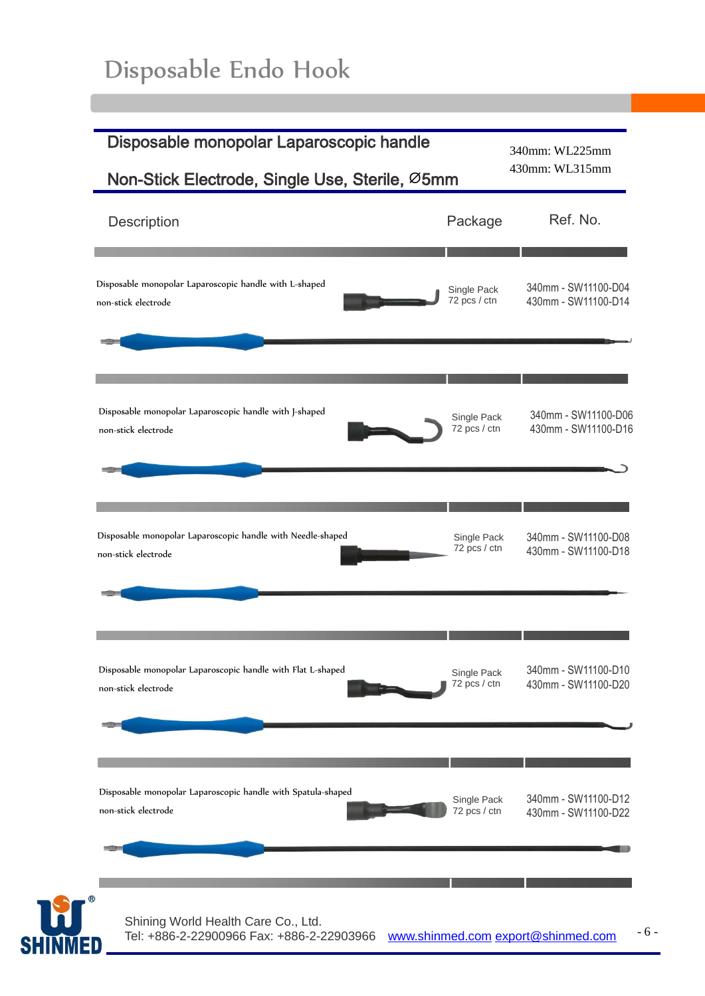| Disposable monopolar Laparoscopic handle<br>Non-Stick Electrode, Single Use, Sterile, Ø5mm                          | 340mm: WL225mm<br>430mm: WL315mm           |
|---------------------------------------------------------------------------------------------------------------------|--------------------------------------------|
| Package<br>Description                                                                                              | Ref. No.                                   |
| Disposable monopolar Laparoscopic handle with L-shaped<br>Single Pack<br>72 pcs / ctn<br>non-stick electrode<br>-23 | 340mm - SW11100-D04<br>430mm - SW11100-D14 |
| Disposable monopolar Laparoscopic handle with J-shaped<br>Single Pack<br>72 pcs / ctn<br>non-stick electrode        | 340mm - SW11100-D06<br>430mm - SW11100-D16 |
| Disposable monopolar Laparoscopic handle with Needle-shaped<br>Single Pack<br>72 pcs / ctn<br>non-stick electrode   | 340mm - SW11100-D08<br>430mm - SW11100-D18 |
| Disposable monopolar Laparoscopic handle with Flat L-shaped<br>Single Pack<br>72 pcs / ctn<br>non-stick electrode   | 340mm - SW11100-D10<br>430mm - SW11100-D20 |
| Disposable monopolar Laparoscopic handle with Spatula-shaped<br>Single Pack<br>non-stick electrode<br>72 pcs / ctn  | 340mm - SW11100-D12<br>430mm - SW11100-D22 |
| Shining World Health Care Co., Ltd.<br>Tel: +886-2-22900966 Fax: +886-2-22903966                                    | www.shinmed.com export@shinmed.com         |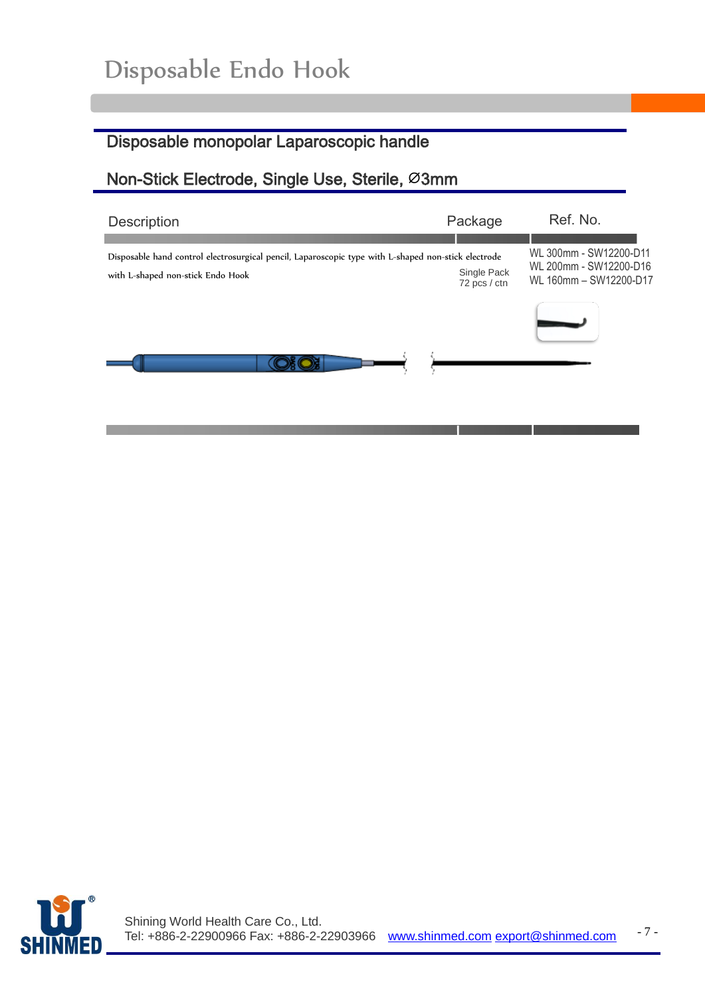### Disposable monopolar Laparoscopic handle

#### Non-Stick Electrode, Single Use, Sterile, Ø3mm

| <b>Description</b>                                                                                                                       | Package                     | Ref. No.                                                                   |
|------------------------------------------------------------------------------------------------------------------------------------------|-----------------------------|----------------------------------------------------------------------------|
| Disposable hand control electrosurgical pencil, Laparoscopic type with L-shaped non-stick electrode<br>with L-shaped non-stick Endo Hook | Single Pack<br>72 pcs / ctn | WL 300mm - SW12200-D11<br>WL 200mm - SW12200-D16<br>WL 160mm - SW12200-D17 |
|                                                                                                                                          |                             |                                                                            |
|                                                                                                                                          |                             |                                                                            |



l